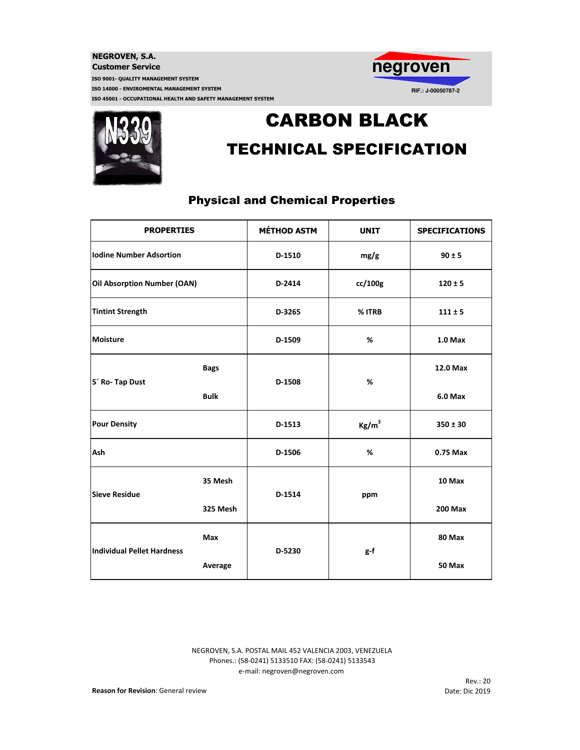



# CARBON BLACK TECHNICAL SPECIFICATION

## Physical and Chemical Properties

| <b>PROPERTIES</b>                 |             | <b>MÉTHOD ASTM</b> | <b>UNIT</b>       | <b>SPECIFICATIONS</b> |
|-----------------------------------|-------------|--------------------|-------------------|-----------------------|
| <b>Iodine Number Adsortion</b>    |             | D-1510             | mg/g              | $90 \pm 5$            |
| Oil Absorption Number (OAN)       |             | D-2414             | cc/100g           | $120 \pm 5$           |
| <b>Tintint Strength</b>           |             | D-3265             | % ITRB            | $111 \pm 5$           |
| Moisture                          |             | D-1509             | %                 | $1.0$ Max             |
| 5 <sup>'</sup> Ro- Tap Dust       | <b>Bags</b> | D-1508             | %                 | 12.0 Max              |
|                                   | <b>Bulk</b> |                    |                   | $6.0$ Max             |
| <b>Pour Density</b>               |             | D-1513             | Kg/m <sup>3</sup> | $350 \pm 30$          |
| Ash                               |             | D-1506             | %                 | 0.75 Max              |
| <b>Sieve Residue</b>              | 35 Mesh     | D-1514             | ppm               | 10 Max                |
|                                   | 325 Mesh    |                    |                   | <b>200 Max</b>        |
| <b>Individual Pellet Hardness</b> | <b>Max</b>  | D-5230             | g-f               | 80 Max                |
|                                   | Average     |                    |                   | 50 Max                |

e-mail: negroven@negroven.com NEGROVEN, S.A. POSTAL MAIL 452 VALENCIA 2003, VENEZUELA Phones.: (58-0241) 5133510 FAX: (58-0241) 5133543